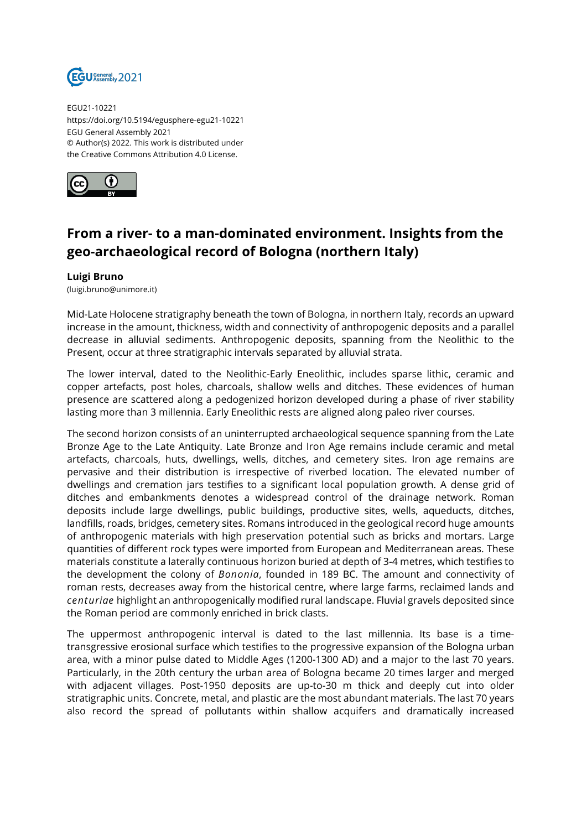

EGU21-10221 https://doi.org/10.5194/egusphere-egu21-10221 EGU General Assembly 2021 © Author(s) 2022. This work is distributed under the Creative Commons Attribution 4.0 License.



## **From a river- to a man-dominated environment. Insights from the geo-archaeological record of Bologna (northern Italy)**

## **Luigi Bruno**

(luigi.bruno@unimore.it)

Mid-Late Holocene stratigraphy beneath the town of Bologna, in northern Italy, records an upward increase in the amount, thickness, width and connectivity of anthropogenic deposits and a parallel decrease in alluvial sediments. Anthropogenic deposits, spanning from the Neolithic to the Present, occur at three stratigraphic intervals separated by alluvial strata.

The lower interval, dated to the Neolithic-Early Eneolithic, includes sparse lithic, ceramic and copper artefacts, post holes, charcoals, shallow wells and ditches. These evidences of human presence are scattered along a pedogenized horizon developed during a phase of river stability lasting more than 3 millennia. Early Eneolithic rests are aligned along paleo river courses.

The second horizon consists of an uninterrupted archaeological sequence spanning from the Late Bronze Age to the Late Antiquity. Late Bronze and Iron Age remains include ceramic and metal artefacts, charcoals, huts, dwellings, wells, ditches, and cemetery sites. Iron age remains are pervasive and their distribution is irrespective of riverbed location. The elevated number of dwellings and cremation jars testifies to a significant local population growth. A dense grid of ditches and embankments denotes a widespread control of the drainage network. Roman deposits include large dwellings, public buildings, productive sites, wells, aqueducts, ditches, landfills, roads, bridges, cemetery sites. Romans introduced in the geological record huge amounts of anthropogenic materials with high preservation potential such as bricks and mortars. Large quantities of different rock types were imported from European and Mediterranean areas. These materials constitute a laterally continuous horizon buried at depth of 3-4 metres, which testifies to the development the colony of *Bononia*, founded in 189 BC. The amount and connectivity of roman rests, decreases away from the historical centre, where large farms, reclaimed lands and *centuriae* highlight an anthropogenically modified rural landscape. Fluvial gravels deposited since the Roman period are commonly enriched in brick clasts.

The uppermost anthropogenic interval is dated to the last millennia. Its base is a timetransgressive erosional surface which testifies to the progressive expansion of the Bologna urban area, with a minor pulse dated to Middle Ages (1200-1300 AD) and a major to the last 70 years. Particularly, in the 20th century the urban area of Bologna became 20 times larger and merged with adjacent villages. Post-1950 deposits are up-to-30 m thick and deeply cut into older stratigraphic units. Concrete, metal, and plastic are the most abundant materials. The last 70 years also record the spread of pollutants within shallow acquifers and dramatically increased